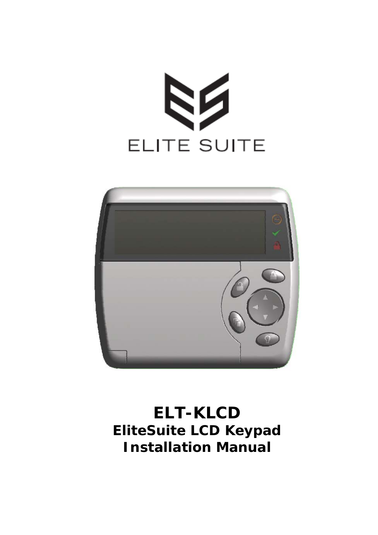



# **ELT-KLCD EliteSuite LCD Keypad Installation Manual**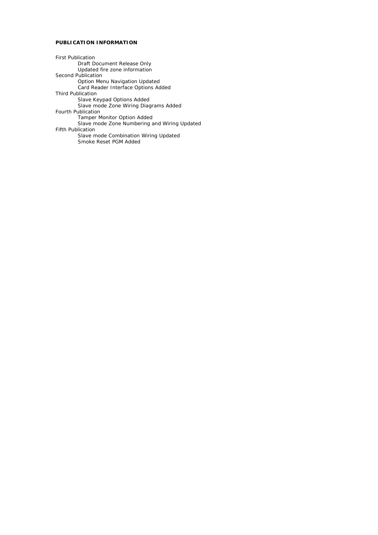#### **PUBLICATION INFORMATION**

First Publication Draft Document Release Only Updated fire zone information Second Publication Option Menu Navigation Updated Card Reader Interface Options Added Third Publication Slave Keypad Options Added Slave mode Zone Wiring Diagrams Added Fourth Publication Tamper Monitor Option Added Slave mode Zone Numbering and Wiring Updated Fifth Publication Slave mode Combination Wiring Updated Smoke Reset PGM Added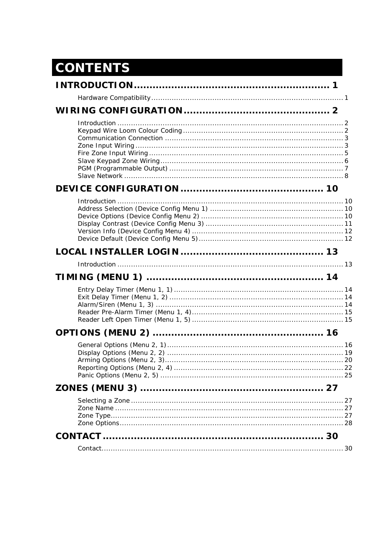# **CONTENTS**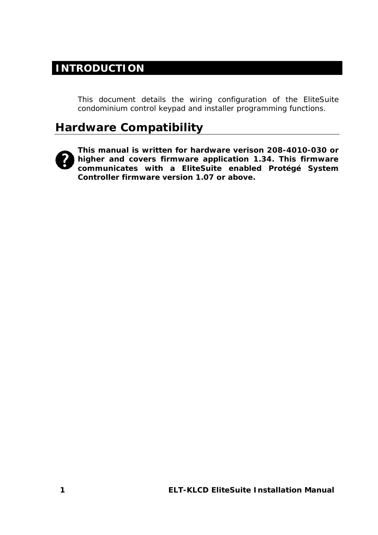#### **INTRODUCTION**

This document details the wiring configuration of the EliteSuite condominium control keypad and installer programming functions.

### **Hardware Compatibility**



**This manual is written for hardware verison 208-4010-030 or higher and covers firmware application 1.34. This firmware communicates with a EliteSuite enabled Protégé System Controller firmware version 1.07 or above.**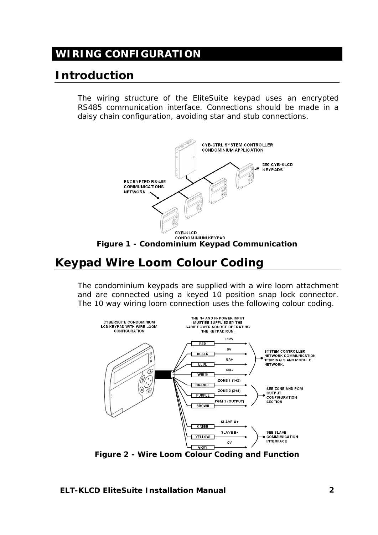# **WIRING CONFIGURATION**

# **Introduction**

The wiring structure of the EliteSuite keypad uses an encrypted RS485 communication interface. Connections should be made in a daisy chain configuration, avoiding star and stub connections.



# **Keypad Wire Loom Colour Coding**

The condominium keypads are supplied with a wire loom attachment and are connected using a keyed 10 position snap lock connector. The 10 way wiring loom connection uses the following colour coding.



*Figure 2 - Wire Loom Colour Coding and Function* 

**ELT-KLCD EliteSuite Installation Manual 2**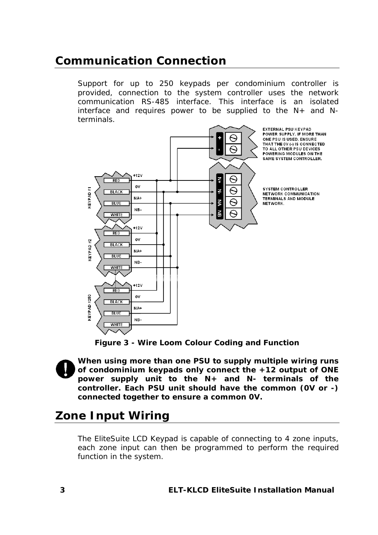### **Communication Connection**

Support for up to 250 keypads per condominium controller is provided, connection to the system controller uses the network communication RS-485 interface. This interface is an isolated interface and requires power to be supplied to the N+ and Nterminals.



*Figure 3 - Wire Loom Colour Coding and Function* 

**When using more than one PSU to supply multiple wiring runs of condominium keypads only connect the +12 output of ONE power supply unit to the N+ and N- terminals of the controller. Each PSU unit should have the common (0V or -) connected together to ensure a common 0V.** 

# **Zone Input Wiring**

The EliteSuite LCD Keypad is capable of connecting to 4 zone inputs, each zone input can then be programmed to perform the required function in the system.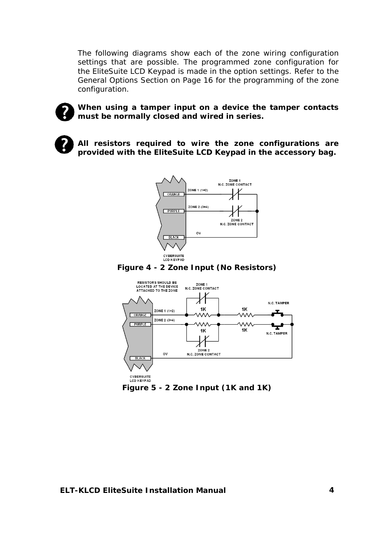The following diagrams show each of the zone wiring configuration settings that are possible. The programmed zone configuration for the EliteSuite LCD Keypad is made in the option settings. Refer to the *General Options Section* on Page 16 for the programming of the zone configuration.



**When using a tamper input on a device the tamper contacts must be normally closed and wired in series.** 



**All resistors required to wire the zone configurations are provided with the EliteSuite LCD Keypad in the accessory bag.** 



*Figure 4 - 2 Zone Input (No Resistors)* 



*Figure 5 - 2 Zone Input (1K and 1K)*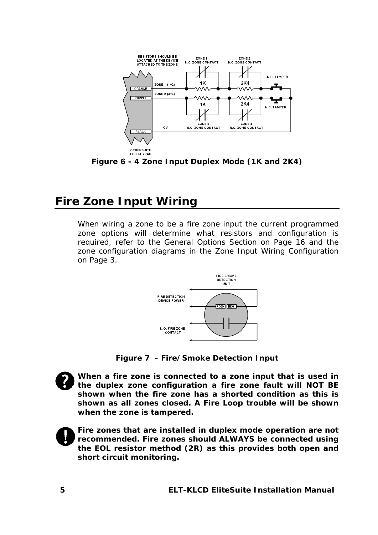

*Figure 6 - 4 Zone Input Duplex Mode (1K and 2K4)* 

# **Fire Zone Input Wiring**

When wiring a zone to be a fire zone input the current programmed zone options will determine what resistors and configuration is required, refer to the *General Options Section* on Page 16 and the zone configuration diagrams in the *Zone Input Wiring Configuration* on Page 3.



*Figure 7 - Fire/Smoke Detection Input* 



**When a fire zone is connected to a zone input that is used in the duplex zone configuration a fire zone fault will NOT BE shown when the fire zone has a shorted condition as this is shown as all zones closed. A Fire Loop trouble will be shown when the zone is tampered.** 



**Fire zones that are installed in duplex mode operation are not recommended. Fire zones should ALWAYS be connected using the EOL resistor method (2R) as this provides both open and short circuit monitoring.**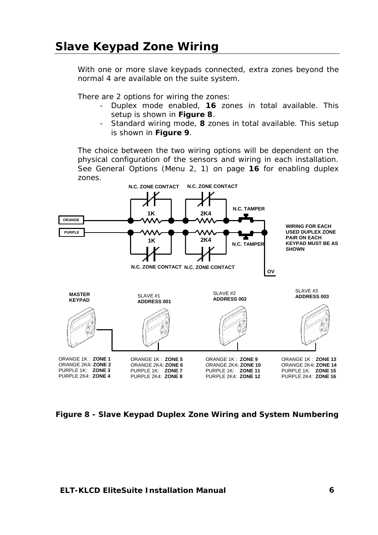With one or more slave keypads connected, extra zones beyond the normal 4 are available on the suite system.

There are 2 options for wiring the zones:

- Duplex mode enabled, **16** zones in total available. This setup is shown in *Figure 8*.
- Standard wiring mode, **8** zones in total available. This setup is shown in *Figure 9*.

The choice between the two wiring options will be dependent on the physical configuration of the sensors and wiring in each installation. See General Options (Menu 2, 1) on page **16** for enabling duplex zones.



*Figure 8 - Slave Keypad Duplex Zone Wiring and System Numbering*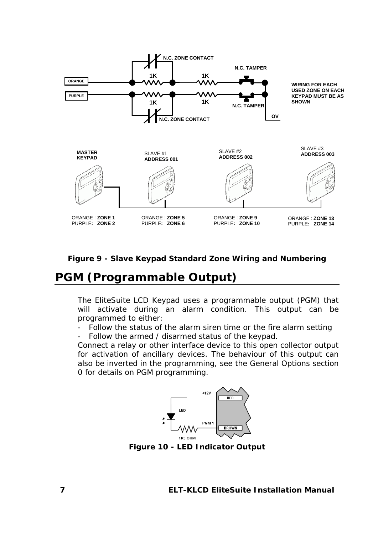

*Figure 9 - Slave Keypad Standard Zone Wiring and Numbering* 

### **PGM (Programmable Output)**

The EliteSuite LCD Keypad uses a programmable output (PGM) that will activate during an alarm condition. This output can be programmed to either:

- Follow the status of the alarm siren time or the fire alarm setting
- Follow the armed / disarmed status of the keypad.

Connect a relay or other interface device to this open collector output for activation of ancillary devices. The behaviour of this output can also be inverted in the programming, see the General Options section 0 for details on PGM programming.



*Figure 10 - LED Indicator Output*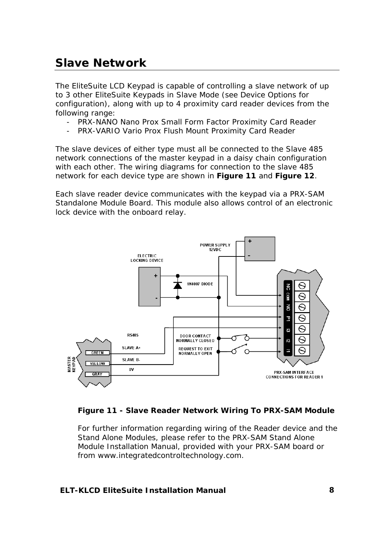# **Slave Network**

The EliteSuite LCD Keypad is capable of controlling a slave network of up to 3 other EliteSuite Keypads in Slave Mode (see Device Options for configuration), along with up to 4 proximity card reader devices from the following range:

- PRX-NANO Nano Prox Small Form Factor Proximity Card Reader
- PRX-VARIO Vario Prox Flush Mount Proximity Card Reader

The slave devices of either type must all be connected to the Slave 485 network connections of the master keypad in a daisy chain configuration with each other. The wiring diagrams for connection to the slave 485 network for each device type are shown in *Figure 11* and *Figure 12*.

Each slave reader device communicates with the keypad via a PRX-SAM Standalone Module Board. This module also allows control of an electronic lock device with the onboard relay.





For further information regarding wiring of the Reader device and the Stand Alone Modules, please refer to the PRX-SAM Stand Alone Module Installation Manual, provided with your PRX-SAM board or from www.integratedcontroltechnology.com.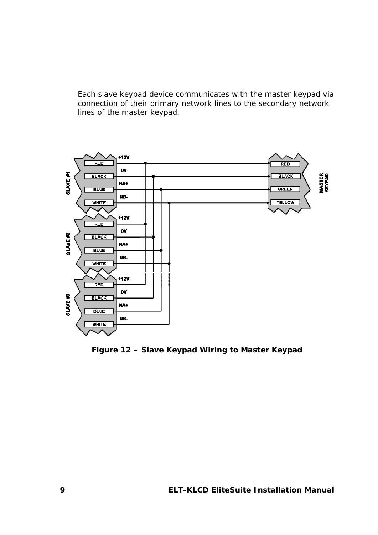Each slave keypad device communicates with the master keypad via connection of their primary network lines to the secondary network lines of the master keypad.



*Figure 12 – Slave Keypad Wiring to Master Keypad*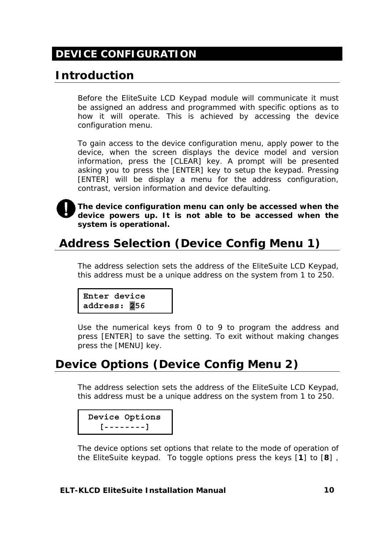# **DEVICE CONFIGURATION**

# **Introduction**

Before the EliteSuite LCD Keypad module will communicate it must be assigned an address and programmed with specific options as to how it will operate. This is achieved by accessing the device configuration menu.

To gain access to the device configuration menu, apply power to the device, when the screen displays the device model and version information, press the [CLEAR] key. A prompt will be presented asking you to press the [ENTER] key to setup the keypad. Pressing [ENTER] will be display a menu for the address configuration, contrast, version information and device defaulting.



**The device configuration menu can only be accessed when the device powers up. It is not able to be accessed when the system is operational.** 

# **Address Selection (Device Config Menu 1)**

The address selection sets the address of the EliteSuite LCD Keypad, this address must be a unique address on the system from 1 to 250.

```
Enter device 
address: 256
```
Use the numerical keys from 0 to 9 to program the address and press [ENTER] to save the setting. To exit without making changes press the [MENU] key.

# **Device Options (Device Config Menu 2)**

The address selection sets the address of the EliteSuite LCD Keypad, this address must be a unique address on the system from 1 to 250.

```
 Device Options
   [--------]
```
The device options set options that relate to the mode of operation of the EliteSuite keypad. To toggle options press the keys [**1**] to [**8**] ,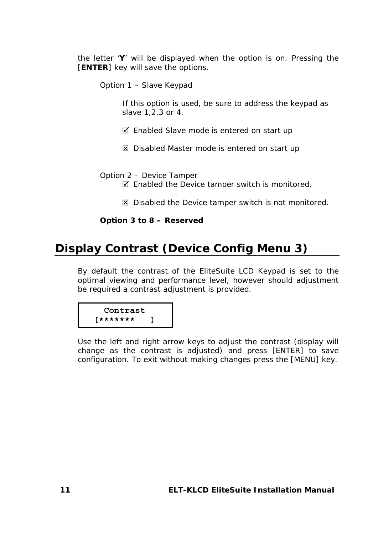the letter '**Y**' will be displayed when the option is on. Pressing the [**ENTER**] key will save the options.

Option 1 – Slave Keypad

If this option is used, be sure to address the keypad as slave 1,2,3 or 4.

- $\boxtimes$  Enabled Slave mode is entered on start up
- $\boxtimes$  Disabled Master mode is entered on start up

Option 2 – Device Tamper

- $\boxtimes$  Enabled the Device tamper switch is monitored.
- $\boxtimes$  Disabled the Device tamper switch is not monitored.

**Option 3 to 8 – Reserved** 

### **Display Contrast (Device Config Menu 3)**

By default the contrast of the EliteSuite LCD Keypad is set to the optimal viewing and performance level, however should adjustment be required a contrast adjustment is provided.

 **Contrast [\*\*\*\*\*\*\* ]** 

Use the left and right arrow keys to adjust the contrast (display will change as the contrast is adjusted) and press [ENTER] to save configuration. To exit without making changes press the [MENU] key.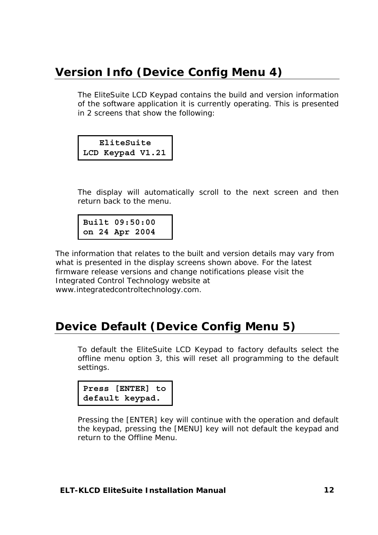# **Version Info (Device Config Menu 4)**

The EliteSuite LCD Keypad contains the build and version information of the software application it is currently operating. This is presented in 2 screens that show the following:

**EliteSuite LCD Keypad V1.21**

The display will automatically scroll to the next screen and then return back to the menu.

**Built 09:50:00 on 24 Apr 2004** 

The information that relates to the built and version details may vary from what is presented in the display screens shown above. For the latest firmware release versions and change notifications please visit the Integrated Control Technology website at www.integratedcontroltechnology.com.

### **Device Default (Device Config Menu 5)**

To default the EliteSuite LCD Keypad to factory defaults select the offline menu option 3, this will reset all programming to the default settings.



Pressing the [ENTER] key will continue with the operation and default the keypad, pressing the [MENU] key will not default the keypad and return to the Offline Menu.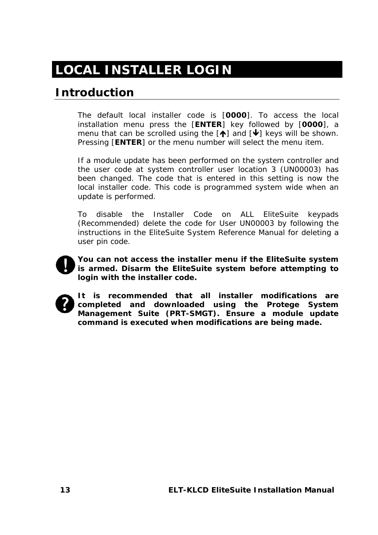# **LOCAL INSTALLER LOGIN**

# **Introduction**

The default local installer code is [**0000**]. To access the local installation menu press the [**ENTER**] key followed by [**0000**], a menu that can be scrolled using the  $[$ <sup>1</sup> and  $[$  $\blacklozenge]$  keys will be shown. Pressing [**ENTER**] or the menu number will select the menu item.

If a module update has been performed on the system controller and the user code at system controller user location 3 (UN00003) has been changed. The code that is entered in this setting is now the local installer code. This code is programmed system wide when an update is performed.

To disable the Installer Code on ALL EliteSuite keypads (Recommended) delete the code for User UN00003 by following the instructions in the EliteSuite System Reference Manual for deleting a user pin code.



**You can not access the installer menu if the EliteSuite system is armed. Disarm the EliteSuite system before attempting to login with the installer code.** 



**It is recommended that all installer modifications are completed and downloaded using the Protege System Management Suite (PRT-SMGT). Ensure a module update command is executed when modifications are being made.**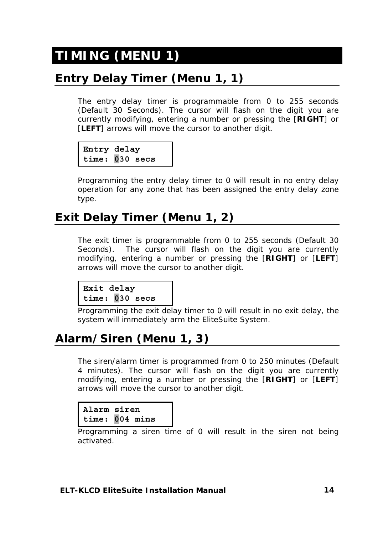# **TIMING (MENU 1)**

# **Entry Delay Timer (Menu 1, 1)**

The entry delay timer is programmable from 0 to 255 seconds (Default 30 Seconds). The cursor will flash on the digit you are currently modifying, entering a number or pressing the [**RIGHT**] or [LEFT] arrows will move the cursor to another digit.

```
Entry delay 
time: 030 secs
```
Programming the entry delay timer to 0 will result in no entry delay operation for any zone that has been assigned the entry delay zone type.

# **Exit Delay Timer (Menu 1, 2)**

The exit timer is programmable from 0 to 255 seconds (Default 30 Seconds). The cursor will flash on the digit you are currently modifying, entering a number or pressing the [**RIGHT**] or [**LEFT**] arrows will move the cursor to another digit.

```
Exit delay 
time: 030 secs
```
Programming the exit delay timer to 0 will result in no exit delay, the system will immediately arm the EliteSuite System.

# **Alarm/Siren (Menu 1, 3)**

The siren/alarm timer is programmed from 0 to 250 minutes (Default 4 minutes). The cursor will flash on the digit you are currently modifying, entering a number or pressing the [**RIGHT**] or [**LEFT**] arrows will move the cursor to another digit.

```
Alarm siren 
time: 004 mins
```
Programming a siren time of 0 will result in the siren not being activated.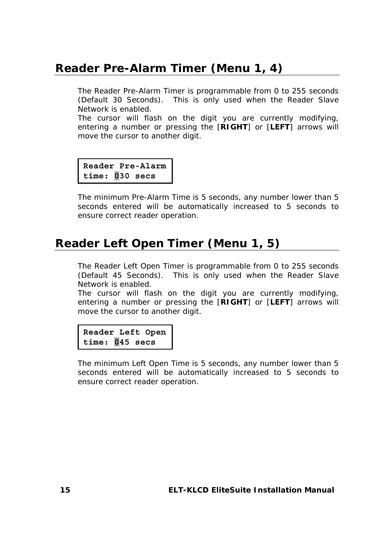### **Reader Pre-Alarm Timer (Menu 1, 4)**

The Reader Pre-Alarm Timer is programmable from 0 to 255 seconds (Default 30 Seconds). This is only used when the Reader Slave Network is enabled.

The cursor will flash on the digit you are currently modifying, entering a number or pressing the [**RIGHT**] or [**LEFT**] arrows will move the cursor to another digit.

```
Reader Pre-Alarm
time: 030 secs
```
The minimum Pre-Alarm Time is 5 seconds, any number lower than 5 seconds entered will be automatically increased to 5 seconds to ensure correct reader operation.

# **Reader Left Open Timer (Menu 1, 5)**

The Reader Left Open Timer is programmable from 0 to 255 seconds (Default 45 Seconds). This is only used when the Reader Slave Network is enabled.

The cursor will flash on the digit you are currently modifying, entering a number or pressing the [**RIGHT**] or [**LEFT**] arrows will move the cursor to another digit.

**Reader Left Open time: 045 secs** 

The minimum Left Open Time is 5 seconds, any number lower than 5 seconds entered will be automatically increased to 5 seconds to ensure correct reader operation.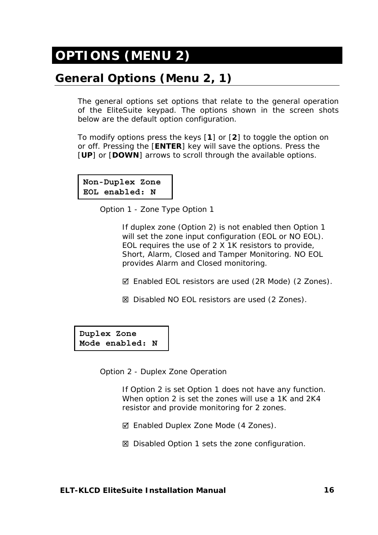# **OPTIONS (MENU 2)**

# **General Options (Menu 2, 1)**

The general options set options that relate to the general operation of the EliteSuite keypad. The options shown in the screen shots below are the default option configuration.

To modify options press the keys [**1**] or [**2**] to toggle the option on or off. Pressing the [**ENTER**] key will save the options. Press the [**UP**] or [**DOWN**] arrows to scroll through the available options.

**Non-Duplex Zone EOL enabled: N**

Option 1 - Zone Type Option 1

If duplex zone (Option 2) is not enabled then Option 1 will set the zone input configuration (EOL or NO EOL). EOL requires the use of 2 X 1K resistors to provide, Short, Alarm, Closed and Tamper Monitoring. NO EOL provides Alarm and Closed monitoring.

5 Enabled EOL resistors are used (2R Mode) (2 Zones).

6 Disabled NO EOL resistors are used (2 Zones).

**Duplex Zone Mode enabled: N**

Option 2 - Duplex Zone Operation

If Option 2 is set Option 1 does not have any function. When option 2 is set the zones will use a 1K and 2K4 resistor and provide monitoring for 2 zones.

- $\boxtimes$  Enabled Duplex Zone Mode (4 Zones).
- **⊠** Disabled Option 1 sets the zone configuration.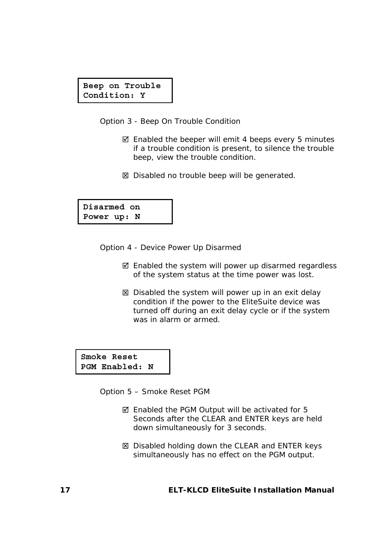#### **Beep on Trouble Condition: Y**

Option 3 - Beep On Trouble Condition

- $\boxtimes$  Enabled the beeper will emit 4 beeps every 5 minutes if a trouble condition is present, to silence the trouble beep, view the trouble condition.
- $\boxtimes$  Disabled no trouble beep will be generated.

**Disarmed on Power up: N**

Option 4 - Device Power Up Disarmed

- $\boxtimes$  Enabled the system will power up disarmed regardless of the system status at the time power was lost.
- $\boxtimes$  Disabled the system will power up in an exit delay condition if the power to the EliteSuite device was turned off during an exit delay cycle or if the system was in alarm or armed.

**Smoke Reset PGM Enabled: N**

Option 5 – Smoke Reset PGM

- $\boxtimes$  Enabled the PGM Output will be activated for 5 Seconds after the CLEAR and ENTER keys are held down simultaneously for 3 seconds.
- $\boxtimes$  Disabled holding down the CLEAR and ENTER keys simultaneously has no effect on the PGM output.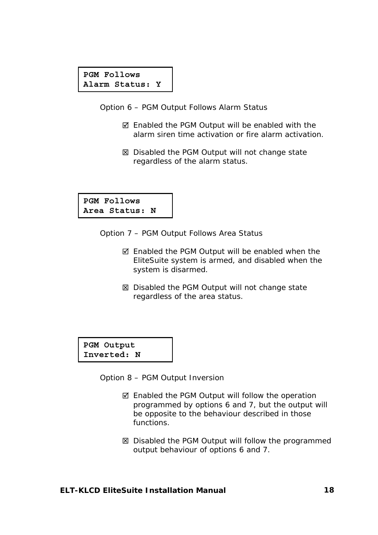#### **PGM Follows Alarm Status: Y**

Option 6 – PGM Output Follows Alarm Status

- $\boxtimes$  Enabled the PGM Output will be enabled with the alarm siren time activation or fire alarm activation.
- **⊠** Disabled the PGM Output will not change state regardless of the alarm status.

**PGM Follows Area Status: N**

Option 7 – PGM Output Follows Area Status

- $\boxtimes$  Enabled the PGM Output will be enabled when the EliteSuite system is armed, and disabled when the system is disarmed.
- **⊠** Disabled the PGM Output will not change state regardless of the area status.

**PGM Output Inverted: N**

Option 8 – PGM Output Inversion

- $\boxtimes$  Enabled the PGM Output will follow the operation programmed by options 6 and 7, but the output will be opposite to the behaviour described in those functions.
- 6 Disabled the PGM Output will follow the programmed output behaviour of options 6 and 7.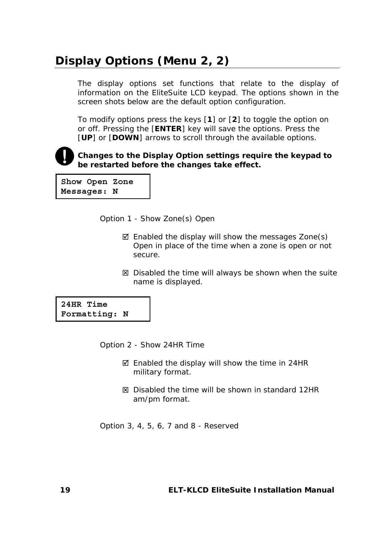# **Display Options (Menu 2, 2)**

The display options set functions that relate to the display of information on the EliteSuite LCD keypad. The options shown in the screen shots below are the default option configuration.

To modify options press the keys [**1**] or [**2**] to toggle the option on or off. Pressing the [**ENTER**] key will save the options. Press the [**UP**] or [**DOWN**] arrows to scroll through the available options*.* 



**Changes to the Display Option settings require the keypad to be restarted before the changes take effect.** 

**Show Open Zone Messages: N**

Option 1 - Show Zone(s) Open

- $\boxtimes$  Enabled the display will show the messages Zone(s) Open in place of the time when a zone is open or not secure.
- $\boxtimes$  Disabled the time will always be shown when the suite name is displayed.

**24HR Time Formatting: N**

Option 2 - Show 24HR Time

- $\boxtimes$  Enabled the display will show the time in 24HR military format.
- $\boxtimes$  Disabled the time will be shown in standard 12HR am/pm format.

Option 3, 4, 5, 6, 7 and 8 - Reserved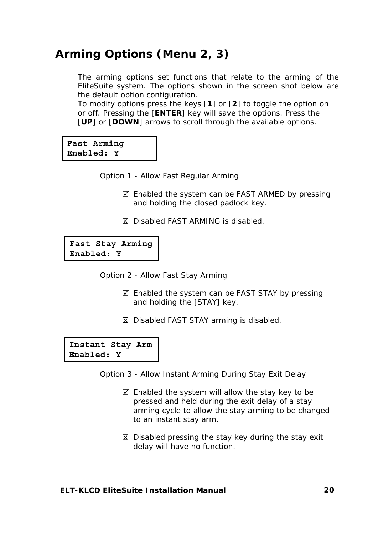# **Arming Options (Menu 2, 3)**

The arming options set functions that relate to the arming of the EliteSuite system. The options shown in the screen shot below are the default option configuration.

To modify options press the keys [**1**] or [**2**] to toggle the option on or off. Pressing the [**ENTER**] key will save the options. Press the [**UP**] or [**DOWN**] arrows to scroll through the available options*.* 

**Fast Arming Enabled: Y** 

Option 1 - Allow Fast Regular Arming

- $\boxtimes$  Enabled the system can be FAST ARMED by pressing and holding the closed padlock key.
- 6 Disabled FAST ARMING is disabled.

**Fast Stay Arming Enabled: Y** 

Option 2 - Allow Fast Stay Arming

- $\boxtimes$  Enabled the system can be FAST STAY by pressing and holding the [STAY] key.
- $⊠$  Disabled FAST STAY arming is disabled.

**Instant Stay Arm Enabled: Y** 

Option 3 - Allow Instant Arming During Stay Exit Delay

- $\boxtimes$  Enabled the system will allow the stay key to be pressed and held during the exit delay of a stay arming cycle to allow the stay arming to be changed to an instant stay arm.
- **⊠** Disabled pressing the stay key during the stay exit delay will have no function.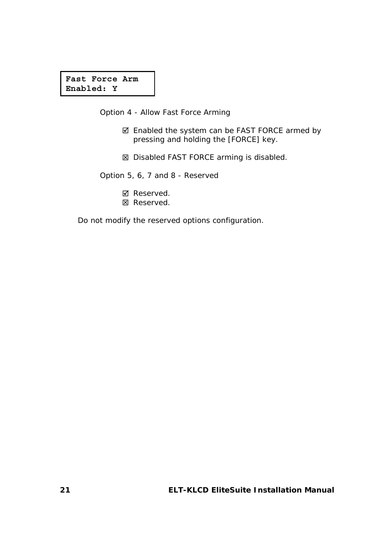#### **Fast Force Arm Enabled: Y**

Option 4 - Allow Fast Force Arming

- 5 Enabled the system can be FAST FORCE armed by pressing and holding the [FORCE] key.
- $⊠$  Disabled FAST FORCE arming is disabled.

Option 5, 6, 7 and 8 - Reserved

- Reserved.
- **図 Reserved.**

Do not modify the reserved options configuration.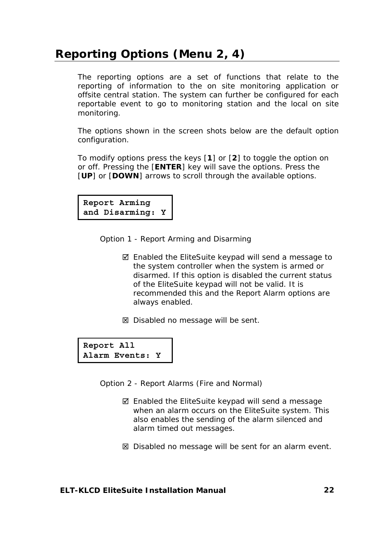# **Reporting Options (Menu 2, 4)**

The reporting options are a set of functions that relate to the reporting of information to the on site monitoring application or offsite central station. The system can further be configured for each reportable event to go to monitoring station and the local on site monitoring.

The options shown in the screen shots below are the default option configuration.

To modify options press the keys [**1**] or [**2**] to toggle the option on or off. Pressing the [**ENTER**] key will save the options. Press the [**UP**] or [**DOWN**] arrows to scroll through the available options.

**Report Arming and Disarming: Y**

Option 1 - Report Arming and Disarming

- $\boxtimes$  Enabled the EliteSuite keypad will send a message to the system controller when the system is armed or disarmed. If this option is disabled the current status of the EliteSuite keypad will not be valid. It is recommended this and the Report Alarm options are always enabled.
- $\boxtimes$  Disabled no message will be sent.

**Report All Alarm Events: Y**

Option 2 - Report Alarms (Fire and Normal)

- $\boxtimes$  Enabled the EliteSuite keypad will send a message when an alarm occurs on the EliteSuite system. This also enables the sending of the alarm silenced and alarm timed out messages.
- $\boxtimes$  Disabled no message will be sent for an alarm event.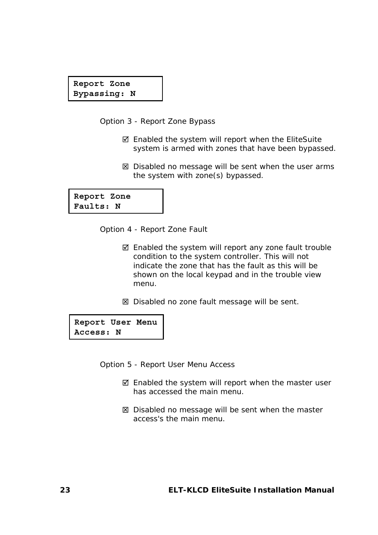**Report Zone Bypassing: N**

Option 3 - Report Zone Bypass

- $\boxtimes$  Enabled the system will report when the EliteSuite system is armed with zones that have been bypassed.
- $\boxtimes$  Disabled no message will be sent when the user arms the system with zone(s) bypassed.

**Report Zone Faults: N**

Option 4 - Report Zone Fault

- $\boxtimes$  Enabled the system will report any zone fault trouble condition to the system controller. This will not indicate the zone that has the fault as this will be shown on the local keypad and in the trouble view menu.
- $\boxtimes$  Disabled no zone fault message will be sent.

**Report User Menu Access: N**

Option 5 - Report User Menu Access

- $\boxtimes$  Enabled the system will report when the master user has accessed the main menu.
- **⊠** Disabled no message will be sent when the master access's the main menu.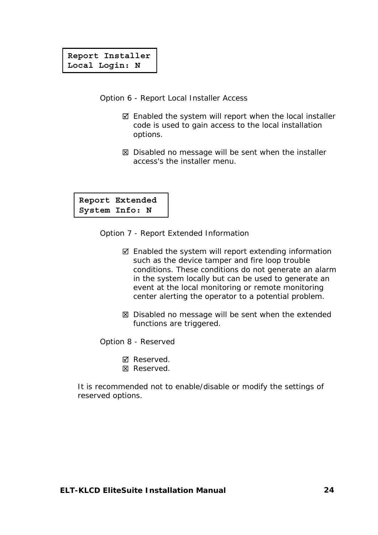#### **Report Installer Local Login: N**

Option 6 - Report Local Installer Access

- $\boxtimes$  Enabled the system will report when the local installer code is used to gain access to the local installation options.
- $\boxtimes$  Disabled no message will be sent when the installer access's the installer menu.

**Report Extended System Info: N**

Option 7 - Report Extended Information

- $\boxtimes$  Enabled the system will report extending information such as the device tamper and fire loop trouble conditions. These conditions do not generate an alarm in the system locally but can be used to generate an event at the local monitoring or remote monitoring center alerting the operator to a potential problem.
- $\boxtimes$  Disabled no message will be sent when the extended functions are triggered.

Option 8 - Reserved

**Ø** Reserved.  $\boxtimes$  Reserved.

It is recommended not to enable/disable or modify the settings of reserved options.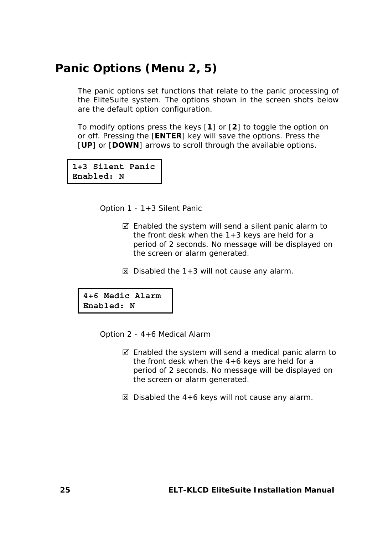#### **Panic Options (Menu 2, 5)**

The panic options set functions that relate to the panic processing of the EliteSuite system. The options shown in the screen shots below are the default option configuration.

To modify options press the keys [**1**] or [**2**] to toggle the option on or off. Pressing the [**ENTER**] key will save the options. Press the [**UP**] or [**DOWN**] arrows to scroll through the available options.

**1+3 Silent Panic Enabled: N**

Option 1 - 1+3 Silent Panic

- $\boxtimes$  Enabled the system will send a silent panic alarm to the front desk when the  $1+3$  keys are held for a period of 2 seconds. No message will be displayed on the screen or alarm generated.
- $\boxtimes$  Disabled the 1+3 will not cause any alarm.

**4+6 Medic Alarm Enabled: N**

Option 2 - 4+6 Medical Alarm

- $\boxtimes$  Enabled the system will send a medical panic alarm to the front desk when the 4+6 keys are held for a period of 2 seconds. No message will be displayed on the screen or alarm generated.
- $\boxtimes$  Disabled the 4+6 keys will not cause any alarm.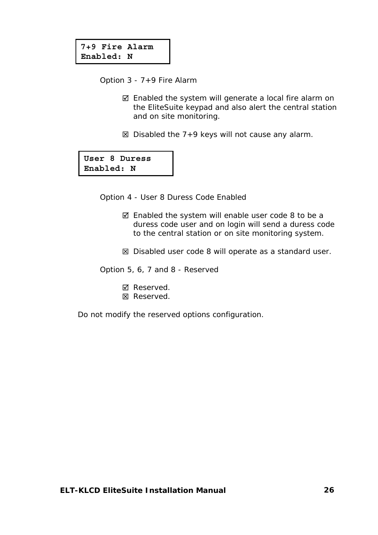Option 3 - 7+9 Fire Alarm

- $\boxtimes$  Enabled the system will generate a local fire alarm on the EliteSuite keypad and also alert the central station and on site monitoring.
- $\boxtimes$  Disabled the 7+9 keys will not cause any alarm.

**User 8 Duress Enabled: N**

Option 4 - User 8 Duress Code Enabled

- $\boxtimes$  Enabled the system will enable user code 8 to be a duress code user and on login will send a duress code to the central station or on site monitoring system.
- $\boxtimes$  Disabled user code 8 will operate as a standard user.

Option 5, 6, 7 and 8 - Reserved

- **Ø** Reserved.
- **図 Reserved.**

Do not modify the reserved options configuration.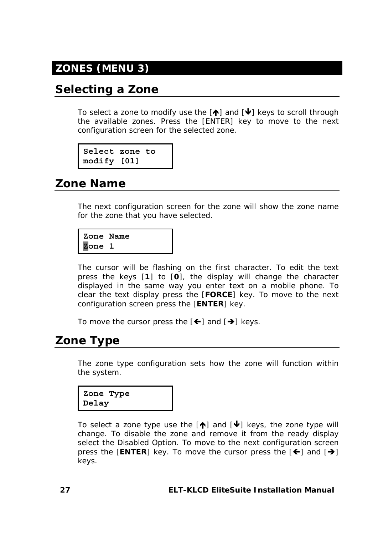# **ZONES (MENU 3)**

### **Selecting a Zone**

To select a zone to modify use the  $[\triangle]$  and  $[\triangle]$  keys to scroll through the available zones. Press the [ENTER] key to move to the next configuration screen for the selected zone.

```
Select zone to 
modify [01]
```
### **Zone Name**

The next configuration screen for the zone will show the zone name for the zone that you have selected.

```
Zone Name 
Zone 1
```
The cursor will be flashing on the first character. To edit the text press the keys [**1**] to [**0**], the display will change the character displayed in the same way you enter text on a mobile phone. To clear the text display press the [**FORCE**] key. To move to the next configuration screen press the [**ENTER**] key.

To move the cursor press the  $[\bigstar]$  and  $[\bigstar]$  keys.

# **Zone Type**

The zone type configuration sets how the zone will function within the system.

**Zone Type Delay** 

To select a zone type use the  $[\hat{\bullet}]$  and  $[\hat{\bullet}]$  keys, the zone type will change. To disable the zone and remove it from the ready display select the Disabled Option. To move to the next configuration screen press the  $[ENTER]$  key. To move the cursor press the  $[6]$  and  $[6]$ keys.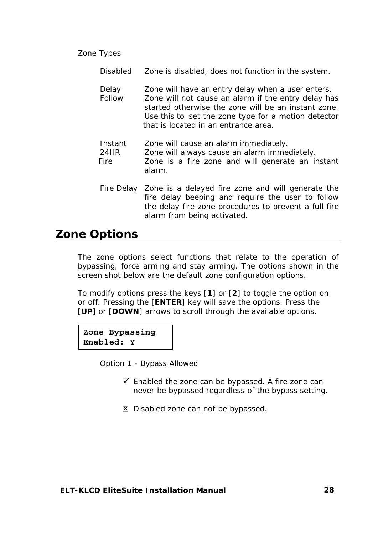#### Zone Types

*Disabled* Zone is disabled, does not function in the system.

- *Delay* Zone will have an entry delay when a user enters. *Follow* Zone will not cause an alarm if the entry delay has started otherwise the zone will be an instant zone. Use this to set the zone type for a motion detector that is located in an entrance area.
- *Instant* Zone will cause an alarm immediately. *24HR* Zone will always cause an alarm immediately. *Fire* Zone is a fire zone and will generate an instant alarm.
- *Fire Delay* Zone is a delayed fire zone and will generate the fire delay beeping and require the user to follow the delay fire zone procedures to prevent a full fire alarm from being activated.

#### **Zone Options**

The zone options select functions that relate to the operation of bypassing, force arming and stay arming. The options shown in the screen shot below are the default zone configuration options.

To modify options press the keys [**1**] or [**2**] to toggle the option on or off. Pressing the [**ENTER**] key will save the options. Press the [**UP**] or [**DOWN**] arrows to scroll through the available options.

**Zone Bypassing Enabled: Y** 

Option 1 - Bypass Allowed

- $\boxtimes$  Enabled the zone can be bypassed. A fire zone can never be bypassed regardless of the bypass setting.
- $\boxtimes$  Disabled zone can not be bypassed.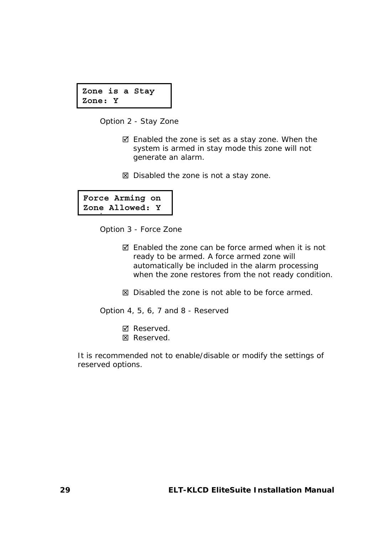```
Zone is a Stay 
Zone: Y
```
Option 2 - Stay Zone

- $\boxtimes$  Enabled the zone is set as a stay zone. When the system is armed in stay mode this zone will not generate an alarm.
- $\boxtimes$  Disabled the zone is not a stay zone.

```
Force Arming on 
Zone Allowed: Y
.
```
Option 3 - Force Zone

 $\boxtimes$  Enabled the zone can be force armed when it is not ready to be armed. A force armed zone will automatically be included in the alarm processing when the zone restores from the not ready condition.

 $\boxtimes$  Disabled the zone is not able to be force armed.

Option 4, 5, 6, 7 and 8 - Reserved

**Ø** Reserved.  $\boxtimes$  Reserved.

It is recommended not to enable/disable or modify the settings of reserved options.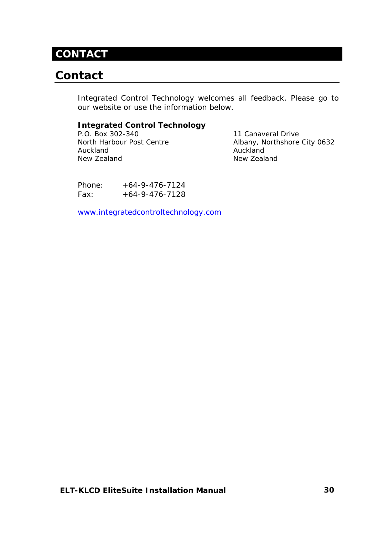### **CONTACT**

# **Contact**

Integrated Control Technology welcomes all feedback. Please go to our website or use the information below.

#### **Integrated Control Technology**

P.O. Box 302-340 11 Canaveral Drive Auckland **Auckland** New Zealand New Zealand

North Harbour Post Centre Albany, Northshore City 0632

Phone:  $+64-9-476-7124$  $Fax: +64-9-476-7128$ 

www.integratedcontroltechnology.com